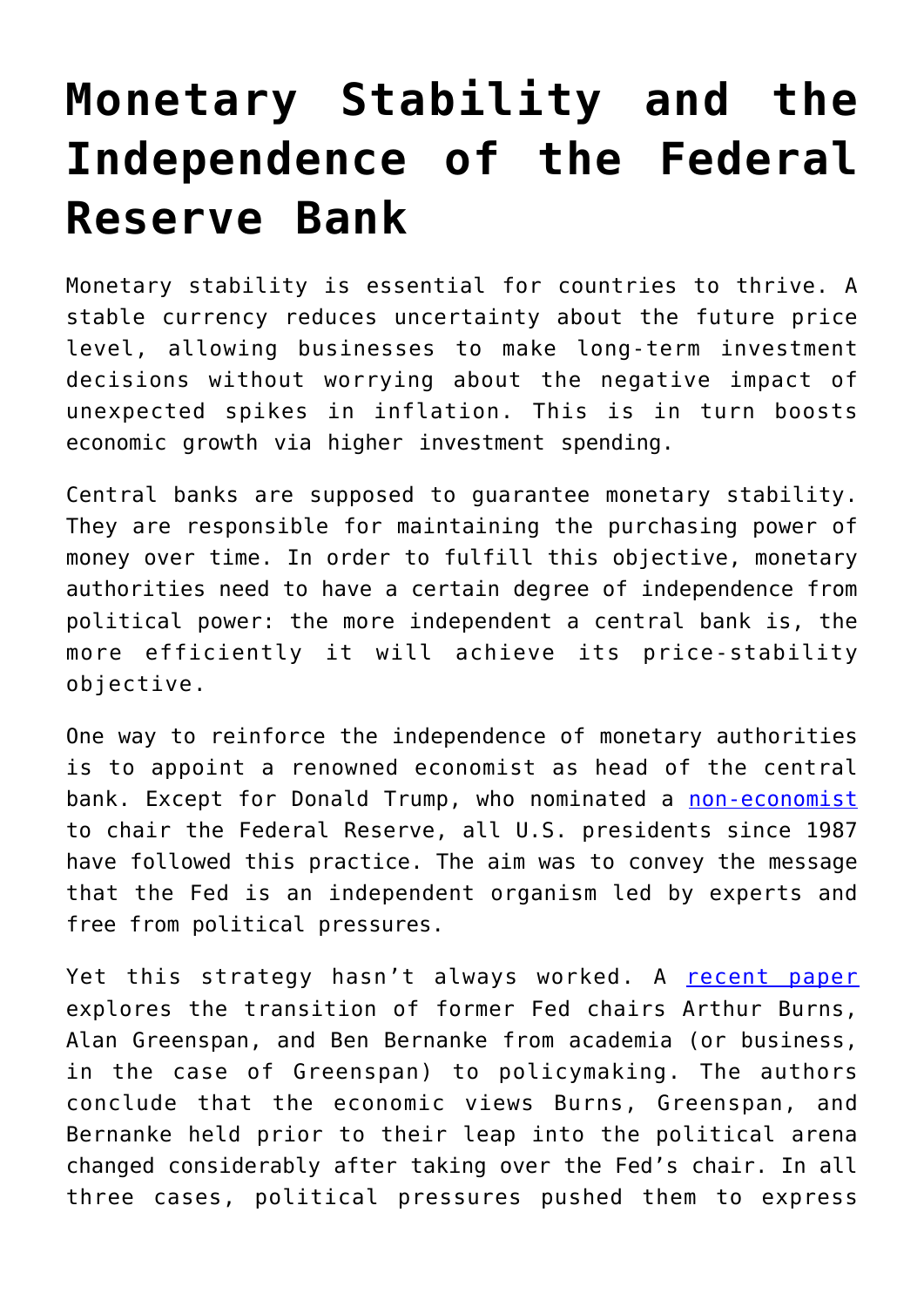## **[Monetary Stability and the](https://intellectualtakeout.org/2019/05/monetary-stability-and-the-independence-of-the-federal-reserve-bank/) [Independence of the Federal](https://intellectualtakeout.org/2019/05/monetary-stability-and-the-independence-of-the-federal-reserve-bank/) [Reserve Bank](https://intellectualtakeout.org/2019/05/monetary-stability-and-the-independence-of-the-federal-reserve-bank/)**

Monetary stability is essential for countries to thrive. A stable currency reduces uncertainty about the future price level, allowing businesses to make long-term investment decisions without worrying about the negative impact of unexpected spikes in inflation. This is in turn boosts economic growth via higher investment spending.

Central banks are supposed to guarantee monetary stability. They are responsible for maintaining the purchasing power of money over time. In order to fulfill this objective, monetary authorities need to have a certain degree of independence from political power: the more independent a central bank is, the more efficiently it will achieve its price-stability objective.

One way to reinforce the independence of monetary authorities is to appoint a renowned economist as head of the central bank. Except for Donald Trump, who nominated a [non-economist](https://www.nytimes.com/2017/11/02/business/economy/jerome-powell-federal-reserve-trump.html) to chair the Federal Reserve, all U.S. presidents since 1987 have followed this practice. The aim was to convey the message that the Fed is an independent organism led by experts and free from political pressures.

Yet this strategy hasn't always worked. A [recent paper](https://www.sciencedirect.com/science/article/pii/S1062976918301054) explores the transition of former Fed chairs Arthur Burns, Alan Greenspan, and Ben Bernanke from academia (or business, in the case of Greenspan) to policymaking. The authors conclude that the economic views Burns, Greenspan, and Bernanke held prior to their leap into the political arena changed considerably after taking over the Fed's chair. In all three cases, political pressures pushed them to express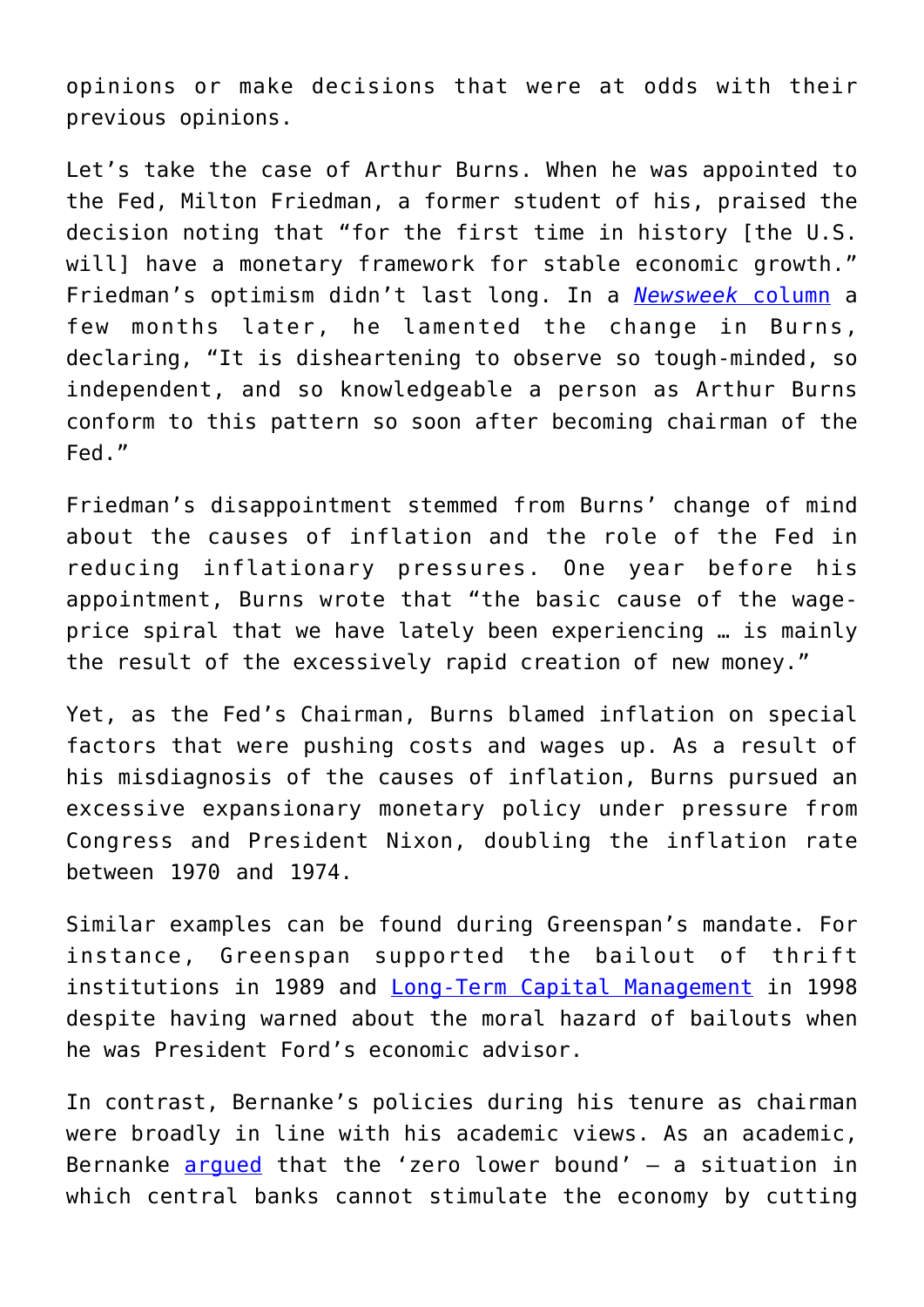opinions or make decisions that were at odds with their previous opinions.

Let's take the case of Arthur Burns. When he was appointed to the Fed, Milton Friedman, a former student of his, praised the decision noting that "for the first time in history [the U.S. willl have a monetary framework for stable economic growth." Friedman's optimism didn't last long. In a *[Newsweek](https://miltonfriedman.hoover.org/friedman_images/Collections/2016c21/NW_06_15_1970.pdf)* [column](https://miltonfriedman.hoover.org/friedman_images/Collections/2016c21/NW_06_15_1970.pdf) a few months later, he lamented the change in Burns, declaring, "It is disheartening to observe so tough-minded, so independent, and so knowledgeable a person as Arthur Burns conform to this pattern so soon after becoming chairman of the Fed."

Friedman's disappointment stemmed from Burns' change of mind about the causes of inflation and the role of the Fed in reducing inflationary pressures. One year before his appointment, Burns wrote that "the basic cause of the wageprice spiral that we have lately been experiencing … is mainly the result of the excessively rapid creation of new money."

Yet, as the Fed's Chairman, Burns blamed inflation on special factors that were pushing costs and wages up. As a result of his misdiagnosis of the causes of inflation, Burns pursued an excessive expansionary monetary policy under pressure from Congress and President Nixon, doubling the inflation rate between 1970 and 1974.

Similar examples can be found during Greenspan's mandate. For instance, Greenspan supported the bailout of thrift institutions in 1989 and [Long-Term Capital Management](https://money.cnn.com/1998/10/01/economy/greenspan/) in 1998 despite having warned about the moral hazard of bailouts when he was President Ford's economic advisor.

In contrast, Bernanke's policies during his tenure as chairman were broadly in line with his academic views. As an academic, Bernanke  $\frac{argued}{}$  $\frac{argued}{}$  $\frac{argued}{}$  that the 'zero lower bound' - a situation in which central banks cannot stimulate the economy by cutting